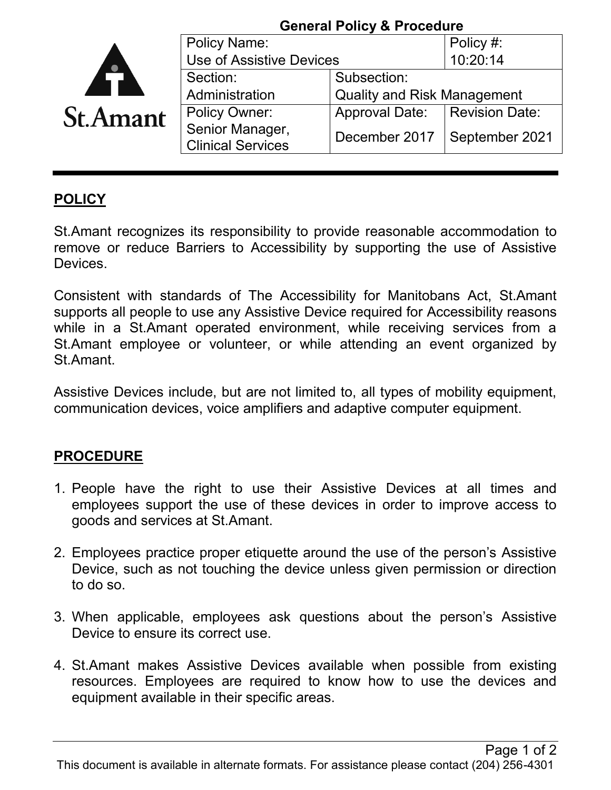|                 | <b>General Policy &amp; Procedure</b>       |                                    |                       |
|-----------------|---------------------------------------------|------------------------------------|-----------------------|
|                 | <b>Policy Name:</b>                         |                                    | Policy #:             |
|                 | Use of Assistive Devices                    |                                    | 10:20:14              |
| <b>St.Amant</b> | Section:                                    | Subsection:                        |                       |
|                 | Administration                              | <b>Quality and Risk Management</b> |                       |
|                 | <b>Policy Owner:</b>                        | <b>Approval Date:</b>              | <b>Revision Date:</b> |
|                 | Senior Manager,<br><b>Clinical Services</b> | December 2017                      | September 2021        |
|                 |                                             |                                    |                       |

## **POLICY**

St.Amant recognizes its responsibility to provide reasonable accommodation to remove or reduce Barriers to Accessibility by supporting the use of Assistive Devices.

Consistent with standards of The Accessibility for Manitobans Act, St.Amant supports all people to use any Assistive Device required for Accessibility reasons while in a St.Amant operated environment, while receiving services from a St.Amant employee or volunteer, or while attending an event organized by St.Amant.

Assistive Devices include, but are not limited to, all types of mobility equipment, communication devices, voice amplifiers and adaptive computer equipment.

## **PROCEDURE**

- 1. People have the right to use their Assistive Devices at all times and employees support the use of these devices in order to improve access to goods and services at St.Amant.
- 2. Employees practice proper etiquette around the use of the person's Assistive Device, such as not touching the device unless given permission or direction to do so.
- 3. When applicable, employees ask questions about the person's Assistive Device to ensure its correct use.
- 4. St.Amant makes Assistive Devices available when possible from existing resources. Employees are required to know how to use the devices and equipment available in their specific areas.